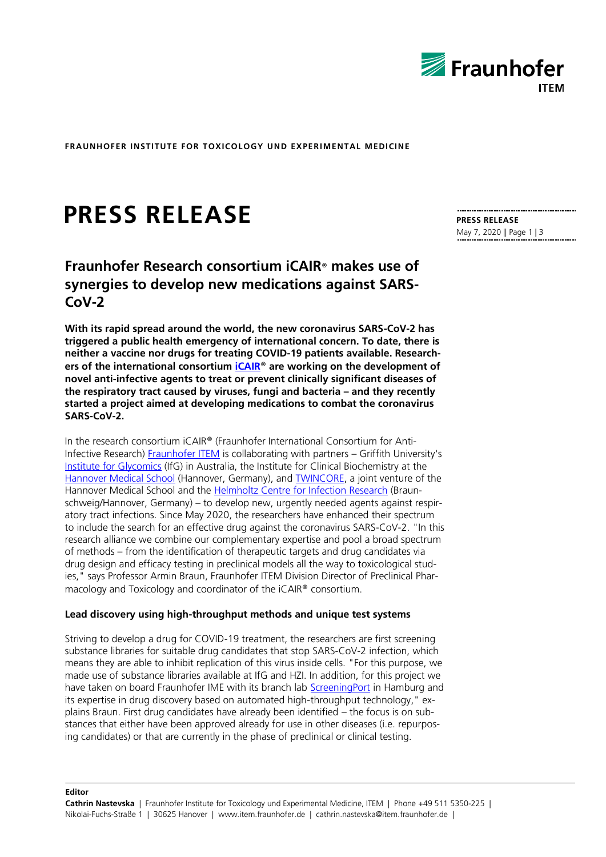

**FRAUNHOFER INSTITUTE FOR TOXICOLOGY UND EXPERIMENTAL MEDICINE**

# **PRESS RELEASE**

# **Fraunhofer Research consortium iCAIR**® **makes use of synergies to develop new medications against SARS-CoV-2**

**With its rapid spread around the world, the new coronavirus SARS-CoV-2 has triggered a public health emergency of international concern. To date, there is neither a vaccine nor drugs for treating COVID-19 patients available. Researchers of the international consortium iCAIR**® **are working on the development of novel anti-infective agents to treat or prevent clinically significant diseases of the respiratory tract caused by viruses, fungi and bacteria – and they recently started a project aimed at developing medications to combat the coronavirus SARS-CoV-2.**

In the research consortium iCAIR® (Fraunhofer International Consortium for Anti-Infective Research) [Fraunhofer ITEM](https://www.item.fraunhofer.de/en.html) is collaborating with partners – Griffith University's [Institute for Glycomics](https://www.griffith.edu.au/institute-glycomics/about-us/centres-of-excellence/fraunhofer-institute) (IfG) in Australia, the Institute for Clinical Biochemistry at the [Hannover Medical School](https://www.mhh.de/institute-zentren-forschungseinrichtungen/institut-fuer-klinische-biochemie/ag-routier/research) (Hannover, Germany), and **TWINCORE**, a joint venture of the Hannover Medical School and the [Helmholtz Centre for Infection Research](https://www.helmholtz-hzi.de/en/) (Braunschweig/Hannover, Germany) – to develop new, urgently needed agents against respiratory tract infections. Since May 2020, the researchers have enhanced their spectrum to include the search for an effective drug against the coronavirus SARS-CoV-2. "In this research alliance we combine our complementary expertise and pool a broad spectrum of methods – from the identification of therapeutic targets and drug candidates via drug design and efficacy testing in preclinical models all the way to toxicological studies," says Professor Armin Braun, Fraunhofer ITEM Division Director of Preclinical Pharmacology and Toxicology and coordinator of the iCAIR® consortium.

# **Lead discovery using high-throughput methods and unique test systems**

Striving to develop a drug for COVID-19 treatment, the researchers are first screening substance libraries for suitable drug candidates that stop SARS-CoV-2 infection, which means they are able to inhibit replication of this virus inside cells. "For this purpose, we made use of substance libraries available at IfG and HZI. In addition, for this project we have taken on board Fraunhofer IME with its branch lab [ScreeningPort](https://www.ime.fraunhofer.de/en/Research_Divisions/business_fields_TM/screeningport.html) in Hamburg and its expertise in drug discovery based on automated high-throughput technology," explains Braun. First drug candidates have already been identified – the focus is on substances that either have been approved already for use in other diseases (i.e. repurposing candidates) or that are currently in the phase of preclinical or clinical testing.

**PRESS RELEASE** May 7, 2020 || Page 1 | 3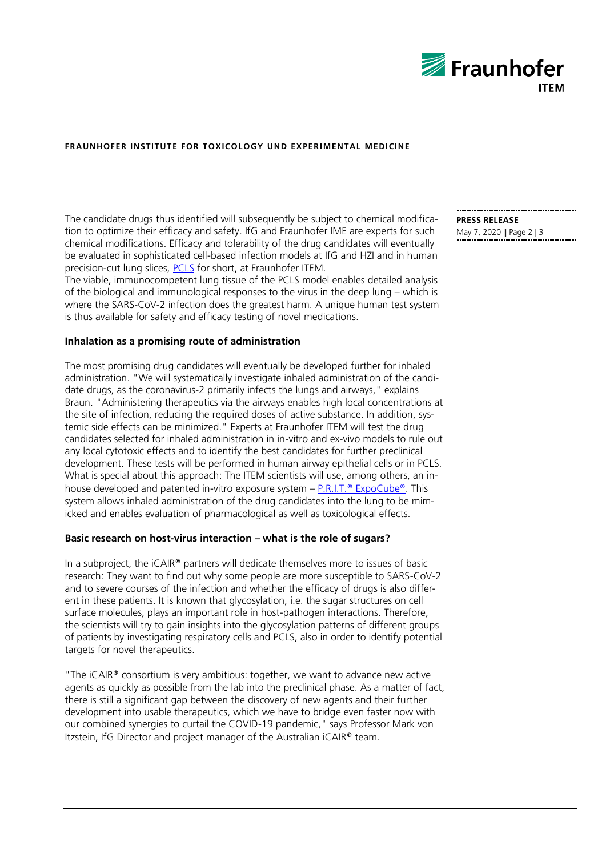

## **FRAUNHOFER INSTITUTE FOR TOXICOLOGY UND EXPERIMENTAL MEDICINE**

The candidate drugs thus identified will subsequently be subject to chemical modification to optimize their efficacy and safety. IfG and Fraunhofer IME are experts for such chemical modifications. Efficacy and tolerability of the drug candidates will eventually be evaluated in sophisticated cell-based infection models at IfG and HZI and in human precision-cut lung slices, [PCLS](https://www.item.fraunhofer.de/en/focuses-of-research/drugdevelopment/PCLS.html) for short, at Fraunhofer ITEM.

The viable, immunocompetent lung tissue of the PCLS model enables detailed analysis of the biological and immunological responses to the virus in the deep lung – which is where the SARS-CoV-2 infection does the greatest harm. A unique human test system is thus available for safety and efficacy testing of novel medications.

#### **Inhalation as a promising route of administration**

The most promising drug candidates will eventually be developed further for inhaled administration. "We will systematically investigate inhaled administration of the candidate drugs, as the coronavirus-2 primarily infects the lungs and airways," explains Braun. "Administering therapeutics via the airways enables high local concentrations at the site of infection, reducing the required doses of active substance. In addition, systemic side effects can be minimized." Experts at Fraunhofer ITEM will test the drug candidates selected for inhaled administration in in-vitro and ex-vivo models to rule out any local cytotoxic effects and to identify the best candidates for further preclinical development. These tests will be performed in human airway epithelial cells or in PCLS. What is special about this approach: The ITEM scientists will use, among others, an inhouse developed and patented in-vitro exposure system  $- P.R.I.T.®$  [ExpoCube](https://www.item.fraunhofer.de/en/services-expertise/drug-development/preclinical-testing.html)<sup>®</sup>. This system allows inhaled administration of the drug candidates into the lung to be mimicked and enables evaluation of pharmacological as well as toxicological effects.

## **Basic research on host-virus interaction – what is the role of sugars?**

In a subproject, the iCAIR® partners will dedicate themselves more to issues of basic research: They want to find out why some people are more susceptible to SARS-CoV-2 and to severe courses of the infection and whether the efficacy of drugs is also different in these patients. It is known that glycosylation, i.e. the sugar structures on cell surface molecules, plays an important role in host-pathogen interactions. Therefore, the scientists will try to gain insights into the glycosylation patterns of different groups of patients by investigating respiratory cells and PCLS, also in order to identify potential targets for novel therapeutics.

"The iCAIR® consortium is very ambitious: together, we want to advance new active agents as quickly as possible from the lab into the preclinical phase. As a matter of fact, there is still a significant gap between the discovery of new agents and their further development into usable therapeutics, which we have to bridge even faster now with our combined synergies to curtail the COVID-19 pandemic," says Professor Mark von Itzstein, IfG Director and project manager of the Australian iCAIR® team.

**PRESS RELEASE** May 7, 2020 || Page 2 | 3